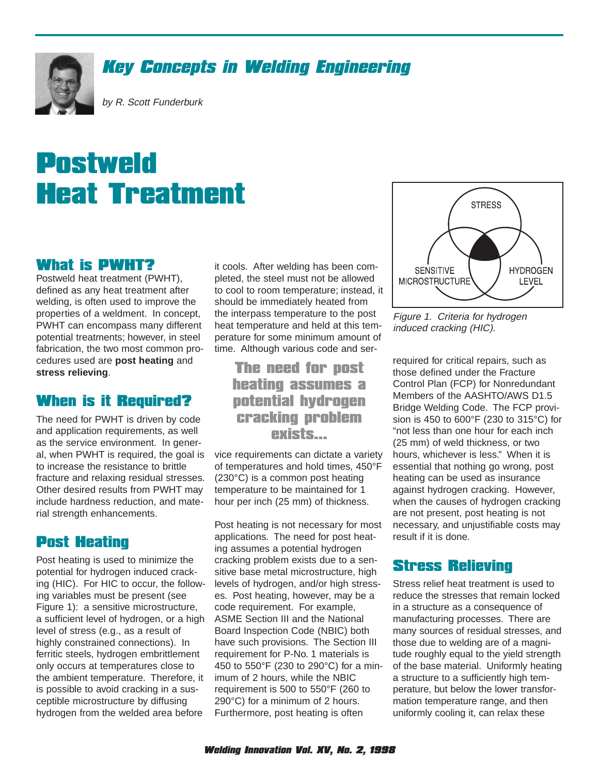

# Key Concepts in Welding Engineering

by R. Scott Funderburk

# Postweld Heat Treatment

#### What is PWHT?

Postweld heat treatment (PWHT), defined as any heat treatment after welding, is often used to improve the properties of a weldment. In concept, PWHT can encompass many different potential treatments; however, in steel fabrication, the two most common procedures used are **post heating** and **stress relieving**.

# When is it Required?

The need for PWHT is driven by code and application requirements, as well as the service environment. In general, when PWHT is required, the goal is to increase the resistance to brittle fracture and relaxing residual stresses. Other desired results from PWHT may include hardness reduction, and material strength enhancements.

# Post Heating

Post heating is used to minimize the potential for hydrogen induced cracking (HIC). For HIC to occur, the following variables must be present (see Figure 1): a sensitive microstructure, a sufficient level of hydrogen, or a high level of stress (e.g., as a result of highly constrained connections). In ferritic steels, hydrogen embrittlement only occurs at temperatures close to the ambient temperature. Therefore, it is possible to avoid cracking in a susceptible microstructure by diffusing hydrogen from the welded area before

it cools. After welding has been completed, the steel must not be allowed to cool to room temperature; instead, it should be immediately heated from the interpass temperature to the post heat temperature and held at this temperature for some minimum amount of time. Although various code and ser-

# The need for post heating assumes a potential hydrogen cracking problem exists...

vice requirements can dictate a variety of temperatures and hold times, 450°F (230°C) is a common post heating temperature to be maintained for 1 hour per inch (25 mm) of thickness.

Post heating is not necessary for most applications. The need for post heating assumes a potential hydrogen cracking problem exists due to a sensitive base metal microstructure, high levels of hydrogen, and/or high stresses. Post heating, however, may be a code requirement. For example, ASME Section III and the National Board Inspection Code (NBIC) both have such provisions. The Section III requirement for P-No. 1 materials is 450 to 550°F (230 to 290°C) for a minimum of 2 hours, while the NBIC requirement is 500 to 550°F (260 to 290°C) for a minimum of 2 hours. Furthermore, post heating is often



Figure 1. Criteria for hydrogen induced cracking (HIC).

required for critical repairs, such as those defined under the Fracture Control Plan (FCP) for Nonredundant Members of the AASHTO/AWS D1.5 Bridge Welding Code. The FCP provision is 450 to 600°F (230 to 315°C) for "not less than one hour for each inch (25 mm) of weld thickness, or two hours, whichever is less." When it is essential that nothing go wrong, post heating can be used as insurance against hydrogen cracking. However, when the causes of hydrogen cracking are not present, post heating is not necessary, and unjustifiable costs may result if it is done.

# Stress Relieving

Stress relief heat treatment is used to reduce the stresses that remain locked in a structure as a consequence of manufacturing processes. There are many sources of residual stresses, and those due to welding are of a magnitude roughly equal to the yield strength of the base material. Uniformly heating a structure to a sufficiently high temperature, but below the lower transformation temperature range, and then uniformly cooling it, can relax these